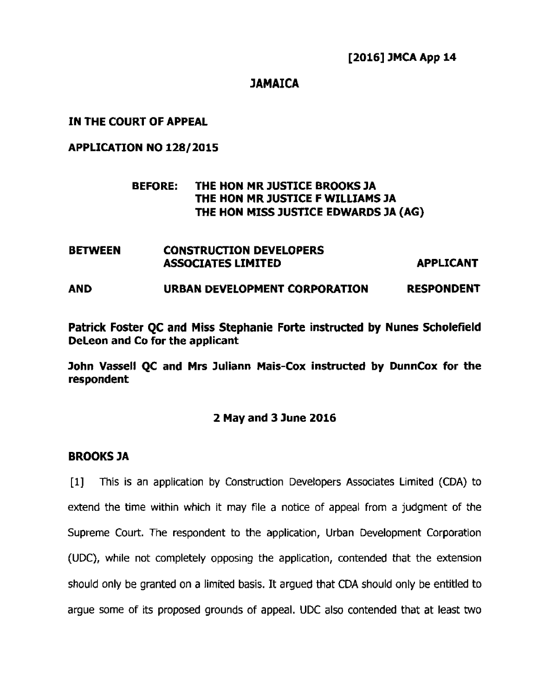# **JAMAICA**

**IN THE COURT OF APPEAL** 

**APPLICATION NO 128/2015** 

# **BEFORE: THE HON MR JUSTICE BROOKS JA THE HON MR JUSTICE F WILLIAMS JA THE HON MISS JUSTICE EDWARDS JA (AG)**

| <b>BETWEEN</b> | <b>CONSTRUCTION DEVELOPERS</b><br><b>ASSOCIATES LIMITED</b> | <b>APPLICANT</b>  |
|----------------|-------------------------------------------------------------|-------------------|
| AND            | URBAN DEVELOPMENT CORPORATION                               | <b>RESPONDENT</b> |

**Patrick Foster QC and Miss Stephanie Forte instructed by Nunes Scholefield DeLeon and Co for the applicant** 

**John Vassell QC and Mrs Juliann Mais-Cox instructed by DunnCox for the respondent** 

## **2 May and 3 June 2016**

#### **BROOKS JA**

[I] This **is an** application **by** Construction **Developers Associates Limited (CDA)** to **extend** the time within which it may file a notice of appeal from a judgment of **the Supreme** Court. The **respondent** to the **application, Urban Development** Corporation **(UDC), while** not **completely opposing the application, contended that** the **extension should** only **be granted on** a limited **basis.** It **argued** that **CDA should** only be entitled to argue some of its proposed **grounds of appeal. UDC also contended** that at **least** two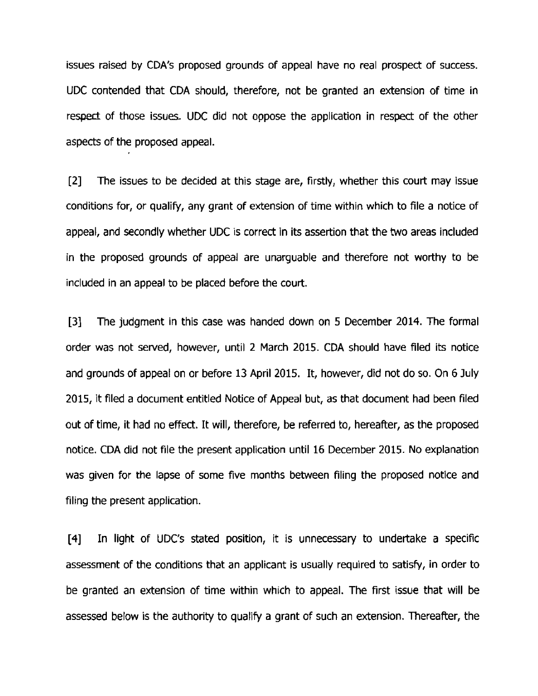issues **raised** by **CDA's** proposed grounds of appeal have **no** real **prospect of success. UDC** contended that CDA should, **therefore,** not be granted an extension of time in respect of those issues. UDC did not oppose the application in respect of the other aspects of the proposed appeal.

**[2]** The issues to be **decided at this stage** are, firstly, whether this court may issue conditions **for,** or qualify, **any grant** of extension of time within **which to** file **a** notice of appeal, and secondly whether UDC is correct in **its** assertion that the two areas included in the proposed grounds of appeal are unarguable and therefore not worthy to **be included** in **an appeal** to **be placed before the court.** 

**[3]** The judgment in this case was handed down on 5 **December** 2014. The formal **order** was not served, however, until 2 **March 2015. CDA should have filed its** notice **and** grounds of appeal on or before 13 April 2015. It, however, did not **do** so. On **6 July 2015,** it **filed** a document entitled Notice of Appeal but, as that document had been **filed**  out of **time,** it had no effect. It will, therefore, be referred to, hereafter, as the proposed notice. CDA did not file the present application until 16 December 2015. No explanation was given for the lapse of some five months between filing the proposed **notice** and **filing** the present application.

**[4]** In light of **UDC's** stated **position, it is unnecessarj** to undertake a specific assessment of the conditions that an applicant is usually required to **satisfy,** in **order** to be **granted** an extension of time within which to appeal. The first issue that will be assessed below is the authority to qualify a grant of such an extension. Thereafter, the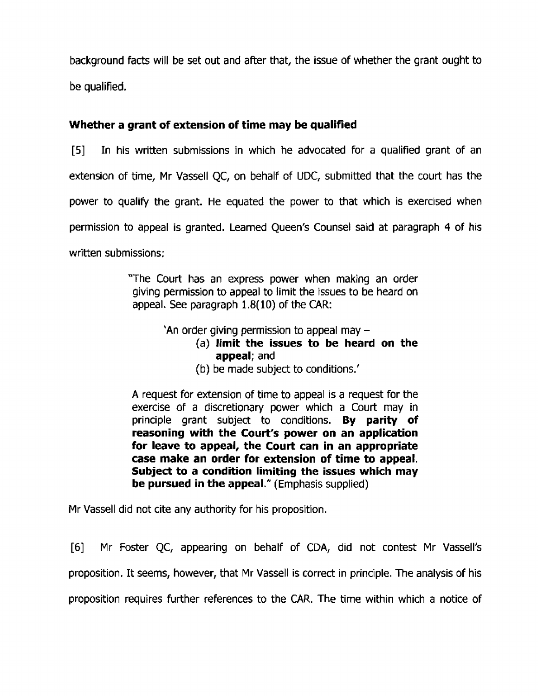background facts will be set out and after that, the issue of whether the grant ought to be **qualified.** 

# **Whether a grant of extension of time may be qualified**

**[5]** In his written submissions in which he advocated for a qualified grant of an extension of time, Mr Vassell QC, on behalf of **UDC, submitted that the court has** the power to qualify the grant. He equated the power to that which is exercised when permission to appeal is granted. Learned Queen's Counsel said at paragraph 4 of his written submissions:

> "The Court has an express power when making an **order**  giving permission to appeal to limit the issues **to** be heard on appeal. See paragraph **1.8(10)** of the CAR:

> > 'An order giving permission to appeal may  $-$

- (a) **limit the issues to be heard on the appeal; and** 
	- (b) be made subject to conditions.'

A request for extension of time to appeal is a request **for** the exercise of a discretionary power which a Court may in principle grant subject to conditions. By parity of **reasoning with the Court's power on an application for leave to appeal, the Court can in an appropriate case make an order for extension of time to appeal. Subject to a condition limiting the issues which may be pursued** in **the** appeal." (Emphasis supplied)

Mr Vassell did not cite **any** authority for his proposition.

**[6]** Mr Foster QC, appearing on behalf of COA, did not contest Mr Vassell's proposition. It seems, however, that Mr Vassell **is** correct in principle. The analysis of his proposition requires further references to the CAR. The time within which a notice of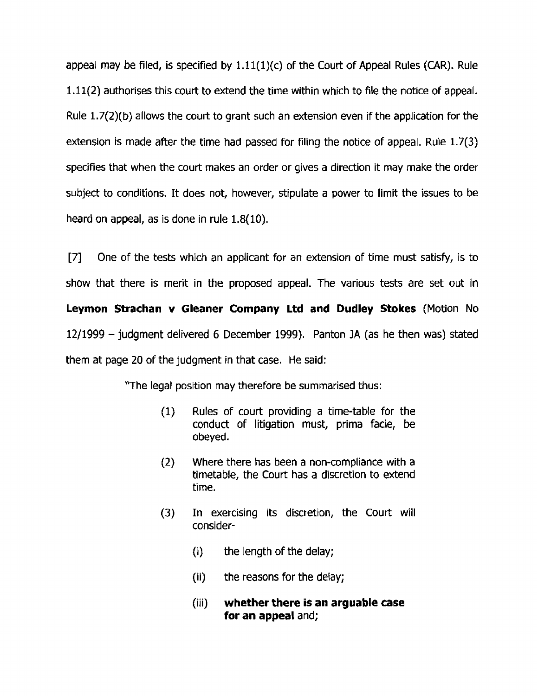appeal **may be filed, is specified by l.ll(l)(c) of the Court of Appeal Rules (CAR). Rule 1.11(2) authorises this** court to **extend the time within which to file the** notice of **appeal. Rule 1.7(2)(b) allows** the court to **grant** such an extension **even if the application for the extension is made after** the time **had passed for filing the notice of appeal. Rule 1.7(3) specifies** that **when** the **court makes** an **order** or **gives a direction it may make** the **order subject to conditions.** It **does not,** however, **stipulate a power to limit the issues to be heard on appeal, as is done in rule 1.8(10).** 

[7] **One of the tests which an applicant for an extension of time must satisfy, is** to **show** that **there is merit in the proposed appeal. The various tests are set** out in **Leyrnon Strachan v Gleaner Company Ltd and Dudley Stokes (Motion No <sup>1211999</sup>**- **judgment delivered 6 December 1999). Panton 1A (as he** then **was) stated**  them **at** page **20** of the judgment in that **case. He said:** 

"The legal **position** may therefore **be summarised thus:** 

- **(1) Rules of court providing a time-table for the conduct** of **litigation must,** prima **facie, be obeyed.**
- **(2) Where** there **has been a non-compliance with a timetable,** the Court **has** a **discretion** to **extend**  time.
- **(3)** In **exercising its discretion, the Court will consider-** 
	- (i) the length **of the delay;**
	- **(ii)** the **reasons for** the **delay;**
	- **(iii) whether there is an arguable case for an appeal and;**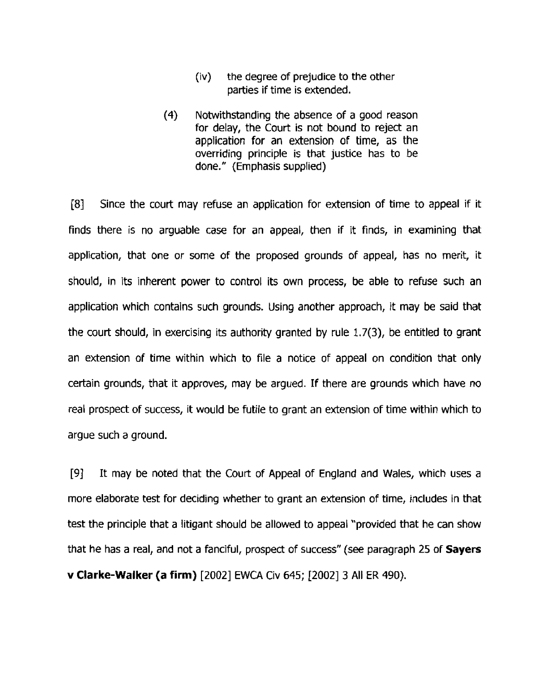- (iv) the degree of prejudice to **the** other parties if time is extended.
- (4) Notwithstanding the absence of a good **reason for** delay, the Court is not bound to reject an application for an extension of time, as the overriding principle is that justice has to be done." (Emphasis **supplied)**

183 Since the court may refuse an application for extension of time to appeal if it finds there is no arguable case for an appeal, then if it finds, in examining that application, that one or some **of** the proposed grounds of appeal, has no merit, it should, in its inherent power to control its **own** process, be able to refuse such an application which contains such grounds. Using another approach, it **may** be said that the court should, in exercising its authority granted by rule **1.7(3),** be entitled to grant an extension of time within which to file a notice of appeal on condition that only certain grounds, that it approves, may be argued. If there are grounds which have no **real** prospect of success, it would be futile to grant an extension of time within which to argue such a ground.

**[9]** It may **be noted** that the Court of **Appeal** of England and Wales, which uses a more elaborate test for deciding whether to grant an extension of **time,** includes **in** that **test** the principle **that** a litigant should be allowed to appeal "provided that he can show that he has a real, and not a fanciful, prospect of success" (see paragraph 25 of **Sayers v Clarke-Walker (a firm) [2002] EWCA** Civ 645; 120021 3 All ER 490).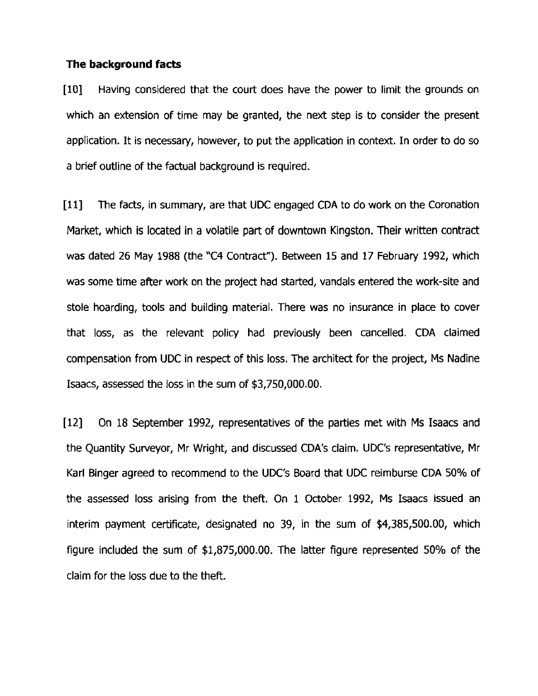#### **The background facts**

[lo] Having considered that the court does have the power to limit the **grounds on**  which **an** extension of time may be granted, the next step is to consider the present application. It is necessary, however, to put the application in context. In order to do so a brief outline of the factual background is required.

[ll] The facts, in summary, are that UDC engaged CDA to **do** work on **the** Coronation Market, which is **located** in a volatile part of downtown Kingston. Their written contract was dated 26 May 1988 (the **"C4** Contract'). Between 15 and 17 February 1992, which was some time after work on the project had started, **vandals** entered the **work-site** and **stole** hoarding, **tools and** building material. There was no insurance in **place** to cover that loss, as the relevant policy had previously **been** cancelled. CDA **claimed**  compensation from UDC in respect of this **loss. The** architect for the project, Ms Nadine **Isaacs,** assessed the loss in the sum of \$3,750,000.00.

[12] On 18 September 1992, representatives of the parties met with Ms Isaacs and the Quantity Surveyor, Mr Wright, and discussed **CDA's** claim. **UDC's** representative, Mr **Karl** Binger agreed to recommend to the UDC's Board that UDC reimburse CDA **50%** of the assessed **loss** arising from the theft. On 1 October 1992, Ms Isaacs issued an interim payment certificate, designated no 39, in the sum of \$4,385,500.00, which figure included the sum of \$1,875,000.00. The latter figure **represented 50%** of the claim for the loss due to the theft.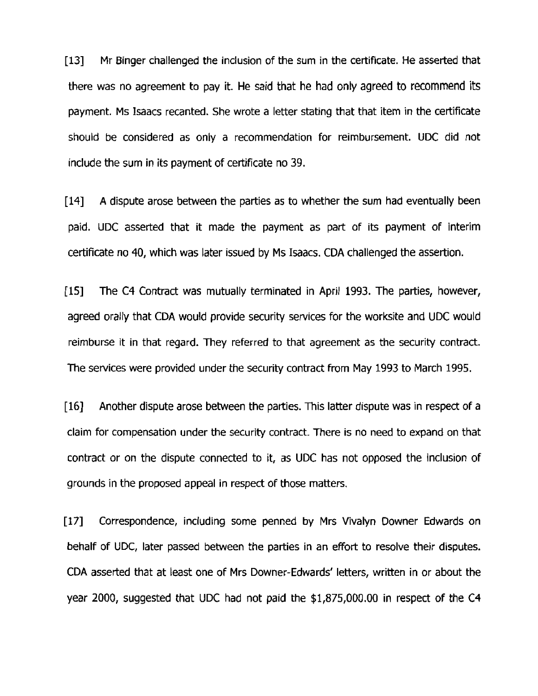**[I31 Mr Binger** challenged the inclusion of the sum **in the certificate. He asserted that**  there was no agreement to pay it. **He said** that **he had** only **agreed** to recommend its payment. Ms Isaacs recanted. She wrote a letter stating that that item in the certificate should be considered as only a recommendation for reimbursement. **UDC** did not include the sum in its payment of certificate no 39.

[I41 **A dispute** arose between the parties as to whether the **sum** had eventually been paid. UDC asserted that it made the payment as part of its payment of interim certificate no 40, which was later issued **by** Ms **Isaacs.** CDA challenged the assertion.

**[IS]** The C4 Contract was mutually terminated in April 1993. The parties, however, agreed orally that **CDA would** provide security services for the **worksite** and UDC would reimburse it in that regard. They referred to that agreement as the security contract. The **sewices** were provided under the security contract from May 1993 to March 1995.

**[16]** Another dispute arose between the parties. This latter dispute was in respect of a claim for **compensation** under **the security** contract. There is no need to expand on that contract or on the dispute connected to it, as UDC has not opposed the inclusion of grounds in the proposed appeal **in** respect of those matters.

**[17]** Correspondence, **including** some penned **by Mrs** Vivalyn Downer Edwards on behalf of UDC, later **passed** between the parties in an effort to resolve their disputes. CDA asserted that at least one of Mrs Downer-Edwards' letters, written in or about the year 2000, **suggested** that UDC **had** not **paid** the **\$1,875,000.00 in respect** of the **C4**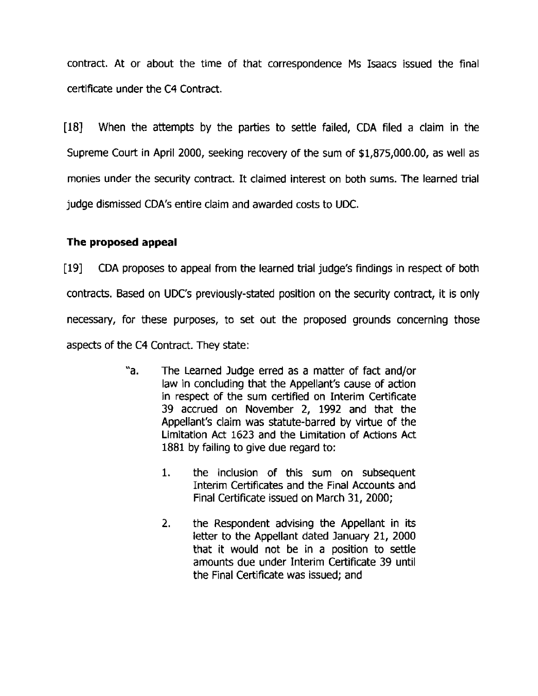contract. At or about the time of that correspondence Ms **Isaacs** issued the final certificate under the C4 Contract.

[18] When the attempts **by** the parties to **settle** failed, CDA filed a **claim in** the Supreme Court in April 2000, seeking recovery of the sum of \$1,875,000.00, as well as monies under the security contract. It claimed interest on both sums. The learned trial judge dismissed **CDA's** entire claim and **awarded** costs to **UDC.** 

# **The proposed appeal**

**[I91 CDA proposes** to appeal **from** the learned trial judge's **findings** in respect **of** both contracts. Based on **UDC's** previously-stated position on the security contract, it is only necessarj, for these purposes, to set out the **proposed** grounds concerning **those aspects** of the C4 Contract. They state:

- **\I** a. The **Learned** Judge **erred as a matter** of fact **and/or**  law in **concluding** that the Appellant's cause of **action**  in **respect of** the sum certified on Interim Certificate 39 accrued **on November** 2, **1992 and that the Appellant's claim was statute-barred by** virtue of the Limitation Act 1623 and the Limitation of Actions Act 1881 by failing to give due regard to:
	- 1. the inclusion **of** this sum on subsequent Interim Certificates and the Final Accounts and Final Certificate issued on March **31,** 2000;
	- **2.** the Respondent advising the Appellant in its letter to the Appellant dated January 21, 2000 that it would not be in a position to **settle**  amounts due **under** Interim Certificate 39 **until**  the Final **Certificate** was **issued; and**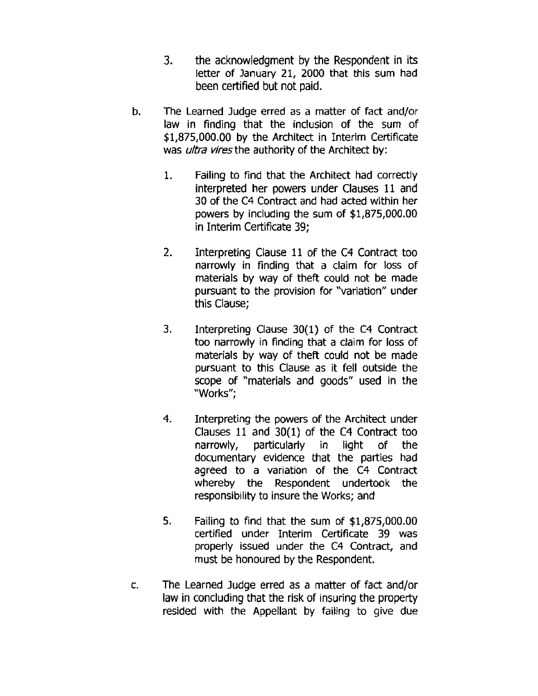- **3.** the **acknowledgment** by the Respondent in its letter of January 21, 2000 that this sum had been **certified but** not **paid.**
- b. The Learned Judge erred as a matter of fact and/or law in **finding that** the inclusion **of** the **sum** of \$1,875,000.00 by the Architect in Interim Certificate was ultra **vlies** the authority of the Architect by:
	- **1.** Failing to find that the **Architect** had correctly interpreted her powers under Clauses 11 and 30 of the **C4** Contract and **had** acted within her powers by including the sum of \$1,875,000.00 in Interim Certificate 39;
	- 2. Interpreting Clause **11** of the **C4** Contract too narrowly in finding that a claim for loss of materials by way of theft **could** not be made pursuant to the provision for "variation" under this Clause;
	- **3.** Interpreting Clause **30(1)** of the C4 Contract too narrowly in finding that a claim for loss of materials by way of theft could not be made **pursuant** to this Clause **as** it fell outside the **scope** of "materials **and** goods" used **in** the **"Works";**
	- **4.** Interpreting the powers of the **Architect** under Clauses 11 and 30(1) of **the C4 Contract** too narrowly, particularly in light of the documentary evidence that the parties had agreed to a variation of the C4 Contract whereby the Respondent undertook the responsibility to insure the Works; and
	- **5.** Failing to find that the sum of \$1,875,000.00 certified under Interim Certificate 39 was properly issued under the C4 Contract, **and must be honoured by** the Respondent.
- *c.* The Learned Judge erred as a matter of fact and/or law in concluding that the risk of insuring the property **resided** with the Appellant by failing to give due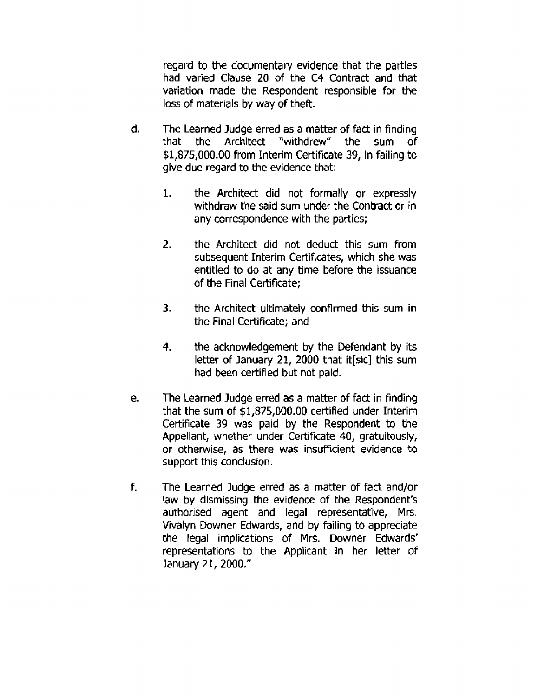**regard** to the documentary evidence that the parties had varied Clause 20 of **the C4 Contract** and **that**  variation made the **Respondent** responsible for the loss of materials by way of theft.

- **d.** The Learned Judge erred as a matter of fact in finding the Architect "withdrew" the sum of **\$1,875,000.00** from Interim Certificate 39, in failing to give due regard to **the evidence that:** 
	- **1.** the **Architect did** not formally or expressly withdraw the said **sum under the** Contract **or in any correspondence** with the parties;
	- 2. the Architect did **not deduct** this **sum** from subsequent Interim Certificates, which she was entitled to **do** at **any** time **before** the issuance of the Final Certificate;
	- **3.** the Architect ultimately confirmed this **sum** in the Final Certificate; and
	- 4. the acknowledgement by the Defendant by its letter of January 21, 2000 that it[sic] this sum had been certified but not **paid.**
- e. The **Learned** Judge erred as a matter of fact in **finding**  that the **sum** of **\$1,875,000.00 certified under Interim**  Certificate **39 was** paid by the Respondent to the Appellant, whether **under** Certificate 40, gratuitously, or otherwise, as there **was** insufficient **evidence to support** this conclusion.
- **f.** The Learned **Judge** erred as **a** matter of fact and/or **law by dismissing the evidence** of the Respondent's authorised agent and legal representative, Mrs. Vivalyn Downer Edwards, and by failing to appreciate the legal implications of **Mrs. Downer Edwards' representations** to the Applicant in her letter of January 21, **2000."**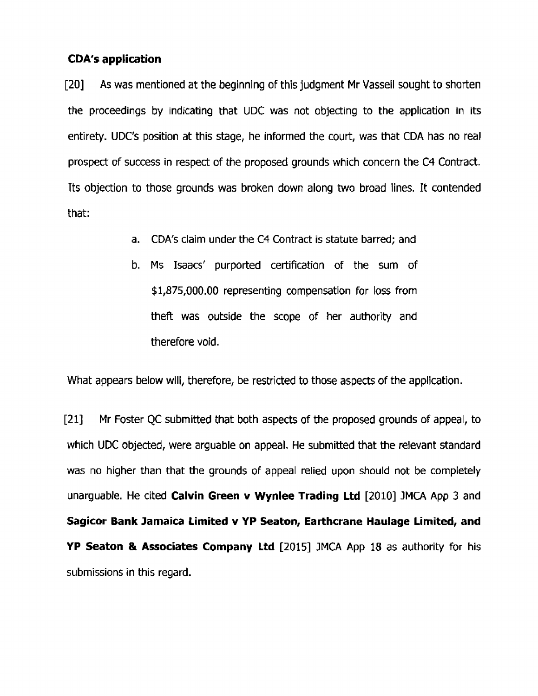## **CDA's application**

**[20] As was** mentioned **at the beginning** of **this judgment Mr Vassell sought to shorten the proceedings by indicating that UDC was not objecting to the application in its entirety. UDC's position at this stage, he informed the court, was that CDA has no** real **prospect** of **success in respect of the proposed grounds which concern the C4 Contract. Its objection to those grounds was broken down along two broad lines.** It **contended**  that:

- a. **CDA's claim under the C4 Contract is statute barred; and**
- **b. Ms Isaacs' purported certification of the sum of \$1,875,000.00 representing compensation** for **loss** from theft **was outside the scope of her authority and therefore void.**

What **appears below will, therefore, be restricted to** those **aspects of the application.** 

[Ill **Mr Foster QC submitted that both aspects** of **the proposed grounds of appeal, to which UDC objected, were arguable on appeal. He submitted that the relevant standard was no higher than that** the **grounds of appeal relied upon should not be** completely **unarguable.** He **cited Calvin Green v Wynlee Trading Ltd [2010] 3MCA App 3 and Sagicor Bank Jamaica Limited v YP Seaton, Earthcrane Haulage Limited, and YP Seaton** & **Associates Company Ltd [2015] JMCA App 18 as authority for his submissions** in **this regard.**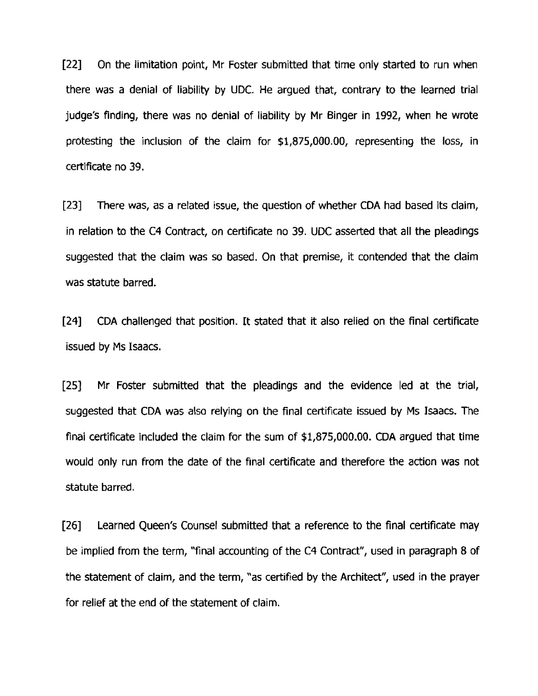[22] On the limitation point, Mr Foster submitted that time only started to run when there was a denial of liability by UDC. He argued that, contrary to the learned trial judge's finding, there was no denial of liability by Mr Binger in 1992, when he wrote protesting the inclusion of the claim for \$1,875,000.00, representing the loss, in certificate no 39.

**[23]** There was, as a related issue, the question of whether CDA had based its claim, in relation to the C4 Contract, on certificate no 39. **UDC** asserted that all the pleadings suggested that the claim **was** so based. On that premise, it contended that the claim was statute barred.

**[24] CDA challenged** that position. It stated that it also relied on the final certificate issued by Ms **Isaacs.** 

[25] Mr Foster submitted that the pleadings and the evidence led at the trial, suggested that CDA was also relying on the final certificate issued by Ms Isaacs. The final certificate included the claim for the sum of \$1,875,000.00. CDA argued that time would only run from the date of the final certificate and therefore the action was not statute barred.

**[26]** Learned Queen's Counsel submitted that a reference to the final certificate **may**  be implied from the term, "final accounting of the C4 Contract", used in paragraph 8 of the statement of claim, and the term, "as certified by the Architect", used in the prayer for relief at the end of the statement of claim.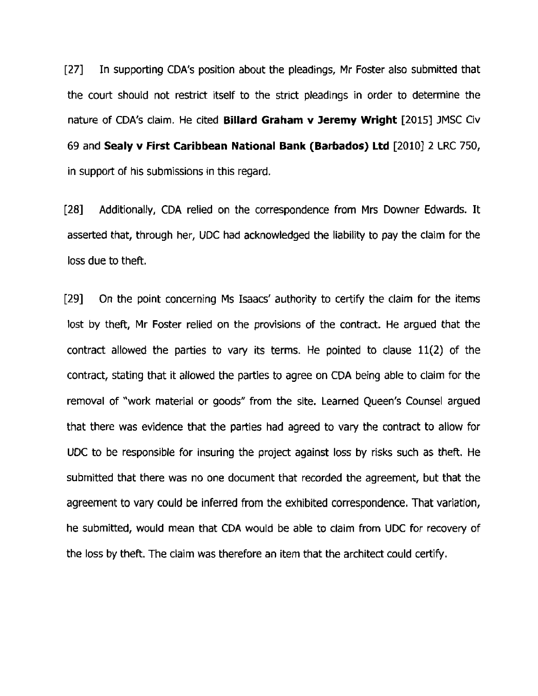[27] **In supporting CDA's** position about the **pleadings,** Mr Foster **also** submitted that the court should not restrict **itself to** the **strict pleadings** in order to **determine the nature** of **CDA's** claim. He cited **Billard Graham v Jeremy Wright** [2015] JMSC Civ **69 and Sealy v First Caribbean National Bank (Barbados) Ltd** [2010] **2** LRC 750, in support of his submissions in this regard,

[28] Additionally, CDA **relied** on the correspondence **from Mrs** Downer **Edwards.** It **asserted that,** through her, UDC had **acknowledged** the liability to pay the **claim for** the **loss due** to theft.

[29] **On** the point concerning Ms **Isaacs'** authority to certify the **claim** for the items lost by **theR,** Mr **Foster** relied on the provisions of the contract. He argued that the contract **allowed** the parties to vary its **terms.** He pointed to clause ll(2) of the contract, stating that it **allowed** the parties to agree on CDA being able to claim for the removal of "work material or goods" from the site. Learned **Queen's** Counsel argued **that** there **was** evidence that the parties had agreed to vary the contract to allow for UDC to be responsible for **insuring** the project **against loss** by **risks** such as theft. He submitted that there was no one document that recorded the agreement, but that the agreement to **vary could be inferred** from the **exhibited** correspondence. That variation, he submitted, **would** mean that **CDA would** be able to claim from UDC for recovery of the **loss** by theft. The claim was therefore an item that the architect **could** certify.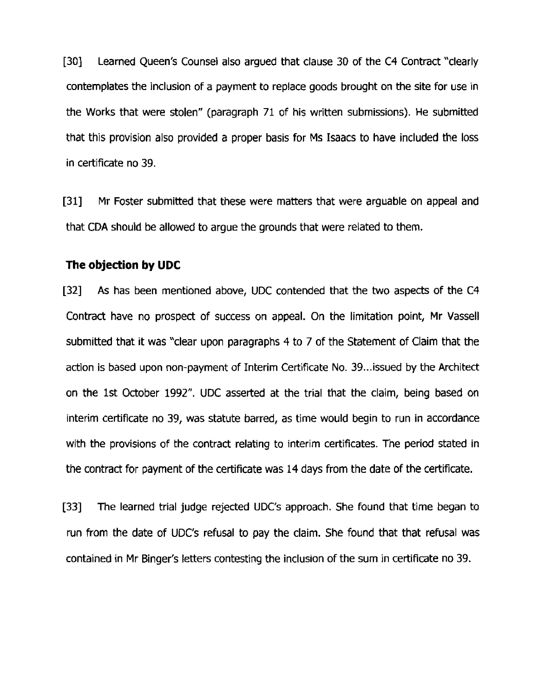**[30]** Learned Queen's Counsel also argued that clause 30 of the C4 Contract "clearly contemplates the inclusion of a payment to replace goods brought on the site for use in the Works that were stolen" (paragraph 71 of his written submissions). He submitted that this provision also provided a proper basis for Ms Isaacs to have included the loss in certificate no 39.

**[31]** Mr Foster submitted that these were matters that were arguable on appeal and that CDA should be allowed to argue the grounds that were related to them.

#### **The objection by UDC**

**[32]** As has been mentioned above, UDC contended that the two aspects of the C4 Contract have no prospect of success on appeal. On the limitation point, Mr Vassell submitted that it was "clear upon paragraphs 4 to 7 of the Statement of Claim that the action is based upon non-payment of Interim **Certificate** No. **39** ... issued by the Architect on the **1st** October 1992". UDC asserted at the trial that the claim, being based on interim certificate no 39, was statute barred, as time would begin to run in accordance with the provisions of the contract relating to interim certificates. The period stated in the contract for payment of the certificate was 14 days from the date of the certificate.

**[33] The learned** trial **judge rejected UDC's** approach. She found that time **began** to run from the date of **UDC's** refusal to pay the claim. She found that that refusal was contained in Mr Binger's letters contesting the inclusion of the sum in certificate no **39.**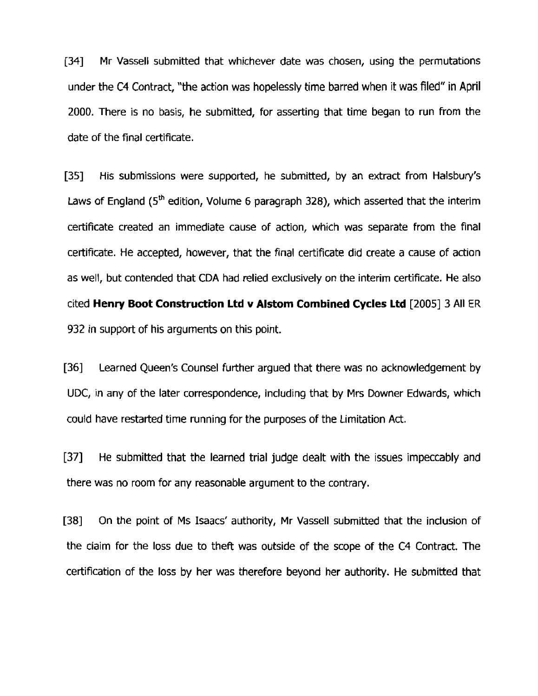1341 Mr **Vassell** submitted that whichever date was chosen, using the permutations under the **C4** Contract, "the action was hopelessly time barred when it **was filed"** in **April**  2000. There is no basis, he submitted, for asserting that time began to run from the date of the final certificate.

[35] His submissions were supported, he submitted, by an extract from Halsbury's Laws of England **(5m** edition, Volume 6 paragraph **328);** which asserted that the interim certificate created an immediate cause of action, which was separate from the final certificate. He accepted, however, that the **final** certificate did create a cause of action as well, but contended that CDA had relied exclusively on the interim certificate. He also cited **Henry Boot Construction Ltd v Alstom Combined Cycles Ltd** [2005] **3 All** ER **932 in** support of his arguments on this point.

**[36]** Learned Queen's Counsel further argued that there **was** no acknowledgement by UDC, in any of the later correspondence, including that by Mrs Downer **Edwards,** which could have restarted time running for the purposes of the Limitation Act.

[37] He submitted that the learned trial judge dealt with the issues impeccably and there was no room for any reasonable argument to the contrary.

**1381** On the point of Ms Isaacs' authority, Mr Vassell submitted that the inclusion of the **claim** for the loss due to theft was outside of the scope of the C4 Contract. The certification of the loss by her was therefore beyond her authority. He submitted that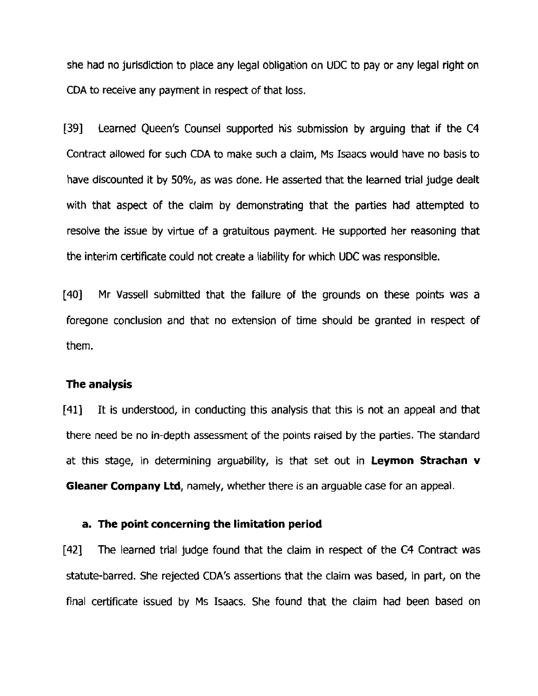**she had no jurisdiction** to **place any legal obligation on UDC to pay or any legal right on CDA** to **receive any payment in respect** of **that loss.** 

**[39] Learned** Queen's **Counsel supported his submission by arguing** that **if the C4 Contract allowed for such CDA** to **make such a claim, Ms Isaacs would** have **no basis to have discounted it by SO%,** as **was done. He asserted** that **the learned trial judge dealt**  with **that aspect** of **the claim by demonstrating that the parties had attempted to resolve the issue by virtue** of a **gratuitous** payment. **He supported her reasoning that the interim certificate could not create a liability for** which **UDC was responsible.** 

**[40] Mr Vassell submitted that the failure of the grounds on these** points **was a**  foregone **conclusion and that** no **extension** of time **should be granted in respect of**  them.

#### **The analysis**

**[41]** It **is understood, in conducting this analysis** that **this is not an appeal and that there need be no in-depth** assessment of the **points raised by the parties. The standard at this stage, in determining arguabitity, is** that set **out** in **Leymon Strachan v Gleaner Company Ltd**, namely, whether there is an arguable case for an appeal.

#### **a. The point concerning the limitation period**

[42] The **learned trial judge found that the** claim **in respect** of the **C4 Contract was statute-barred. She rejected CDA's assertions** that the claim **was based,** in **part, on the final certificate issued by** Ms **Isaacs. She found that the claim had been based on**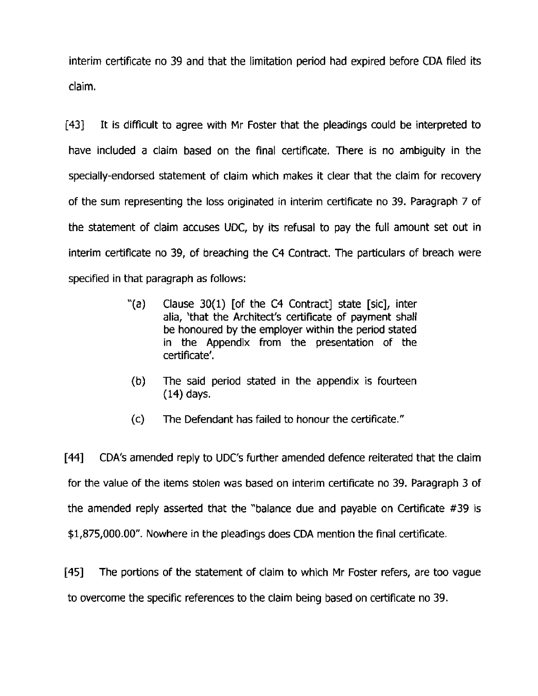interim certificate no **39 and that the limitation period had expired** before **CDA filed** its claim.

**1431 It is dimcult** to **agree** with **Mr Foster that the pleadings could be interpreted to have included a claim based** on the **final** certificate. **There is no ambiguity in** the **specially-endorsed statement** of **claim which makes it clear that** the **claim for recovery of the sum representing the loss originated in interim certificate no 39. Paragraph 7 of the statement of claim accuses UDC, by its refusal to pay the full** amount **set** out **in interim** certificate **no 39, of breaching** the **C4 Contract. The particulars of breach** were **specified in that paragraph as follows:** 

- "(a) **Clause 30(1) [of the C4** Contract] **state [sic], inter alia, 'that the Architect's certificate of payment shall be honoured by the employer within the period stated in the Appendix** from **the presentation of** the certificate'.
- (b) The **said period stated in the appendix is fourteen (14) days.**
- **(c)** The **Defendant has failed** to honour **the certificate."**

[44] **CDAfs amended** reply to **UDC's further amended defence reiterated** that the **claim for the** value **of the items stolen was based on interim certificate no 39. Paragraph 3 of**  the **amended reply asserted that** the **"balance due and payable on Certificate #39 is \$1,875,000.00". Nowhere in the pleadings does CDA mention the final** certificate.

**[45]** The **portions of** the **statement** of **claim** to **which** Mr Foster **refers,** are **too** vague to overcome the **specific** references **to** the **claim being based** on certificate **no 39.**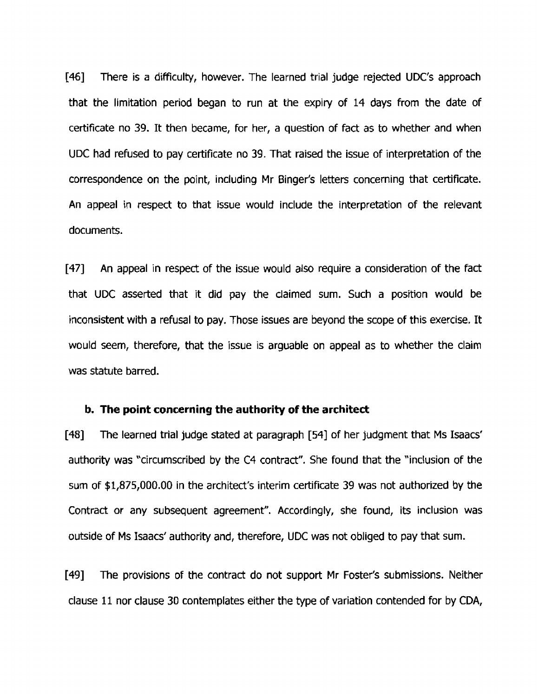1461 **There is a difficulty,** however. The learned **trial** judge rejected **UDC's** approach that the limitation period began to run at the expiry of 14 days from the date of certificate no 39. It then became, for her, a question of fact as to whether and when UDC had refused to pay certificate no 39. That raised the issue of interpretation of the correspondence on the point, including Mr Binger's letters concerning that certificate. An **appeal in respect to** that issue would include the interpretation of the relevant **documents.** 

[47] An appeal in respect of the issue would **also** require a consideration of the fact that UDC asserted that it did pay the claimed sum. Such a position would be inconsistent with a refusal to pay. Those **issues** are beyond the scope of this exercise. It would seem, therefore, that the issue is arguable on appeal as to whether the claim was statute barred.

#### **b. The point concerning the authority of the architect**

[48] The learned trial judge stated at paragraph **[54]** of her judgment that Ms Isaacs' authority was "circumscribed by the C4 contract". She found that the "inclusion of the sum of \$1,875,000.00 in the architect's interim certificate 39 was not authorized by the Contract or any subsequent agreement". Accordingly, she **found, its** inclusion **was**  outside of Ms Isaacs' authority and, therefore, UDC was not obliged to pay that sum.

**[49]** The provisions **of** the contract **do** not support Mr Foster's submissions. Neither clause **11** nor clause 30 contemplates either the type of variation contended for by CDA,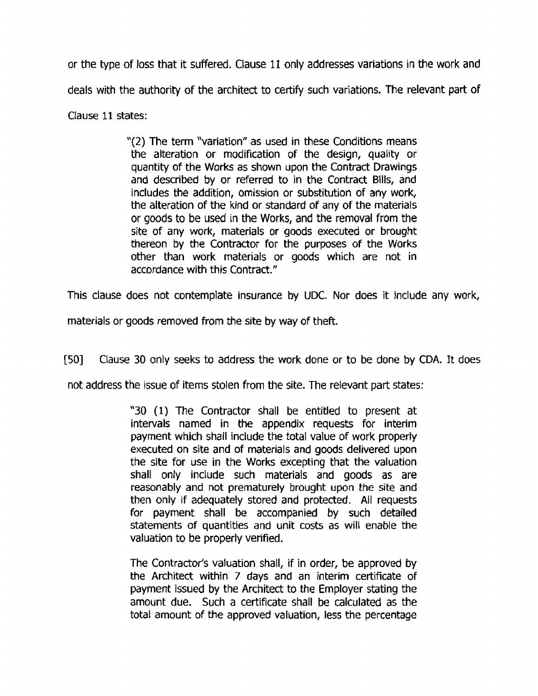or the type of loss that it suffered. Clause 11 only addresses variations in the work **and**  deals with the authority of the architect to certify such variations. The relevant part of **Clause 11 states:** 

> "(2) The term "variation" as used in these Conditions means the alteration or modification of the design, quality or quantity of the Works as shown upon the Contract Drawings and described by or referred to in the Contract Bills, and includes the addition, omission or substitution of any work, the alteration of the kind or standard of any of the materials or goods to be used in the Works, and the removal from the **site** of any work, materials or goods executed or brought thereon by the Contractor for the purposes **of the Works**  other than work materials or goods which are not in accordance with this Contract."

This clause does not contemplate insurance by UDC. Nor does it include any work,

materials or goods removed from *the* **site by way** of theft.

**[SO]** Clause 30 only seeks to address the work done or to be done by CDA. It does

not address the issue of items stolen from the site. The relevant part states:

"30 (1) The Contractor shall be entitled to present at intervals named in the appendix requests for interim payment which shall include the total value of work properly executed on site and of materials and goods delivered upon the site for use in the Works excepting that the valuation shall **only** include such materials and goods as are reasonably and not prematurely brought upon the site and then only if adequately stored and protected. All requests for payment shall be accompanied by such detailed statements of quantities and unit costs as will enable the valuation to be properly verified.

The Contractor's valuation shall, if in order, be approved by the Architect within 7 days and an interim certificate of payment issued by the Architect to the Employer stating the amount due. Such a certificate shall be calculated as the total amount of the approved valuation, less the percentage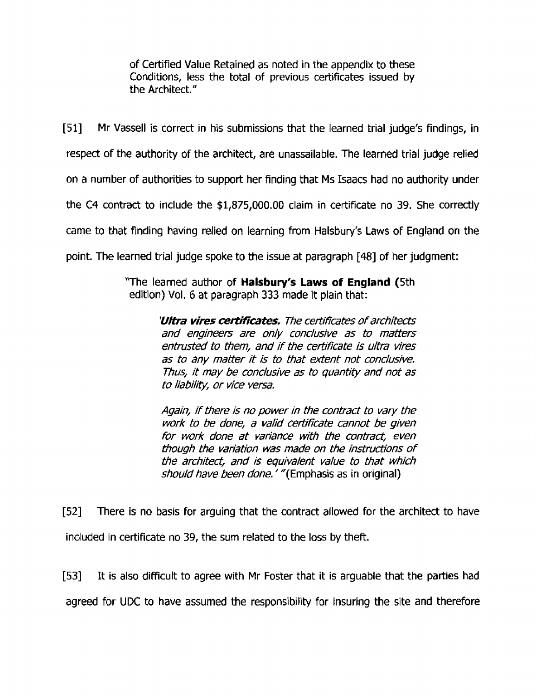**of Certified Value** Retained **as noted in the** appendix to these Conditions, **less** the total **of** previous certificates issued by the Architect."

[51] Mr Vassell is **correct** in his **submissions** that the learned **trial** judge's findings, **in** 

**respect** of the authority of the **architect, are unassailable.** The **learned** trial judge relied

on a number of authorities to support her finding that Ms Isaacs **had no** authority **under** 

the **C4** contract to include the \$1,875,000.00 **claim in** certificate no **39.** She **correctly** 

came to that **finding** having relied **on** learning from **Halsbuv's Laws of England** on the

point. The **learned** trial judge **spoke** to the issue at paragraph [48] of her judgment:

"The **learned** author of **Halsbury's Laws of England** (5th edition) Vol. 6 at paragraph 333 made it plain that:

> **'Ultra vires certificates.** The certificates of architects and engineers *are* only **conclusive as** to *matters entrusted* to *them, and* if the certificate **is** *ultra* vires **as** to any matter it **is** to that *extent* not conc/usive. Thus, it may be conc/usive as to **qumtiw and** not **as**  to liability, or vice versa.

> **Again,** if there **is** no power *in* the *contract* to vary the work to **be** dune, a **va/id cerf/ficcate** cannot **be** *given*  for work done at variance with the contract, even though the va-iation *was* made **on** the **instructions** of the architect, **and** is equiva/ent value to that which **should** have **been done.** '"(Emphasis as in original)

[52] There **is no** basis **for** arguing that the contract **allowed** for **the architect** to **have**  included in certificate no 39, the sum related to the **loss** by theft.

**[53]** It is **also** difficult to **agree** with Mr **Foster** that it **is** arguable that **the** parties had **agreed for UDC** to have assumed the responsibility for insuring the site and therefore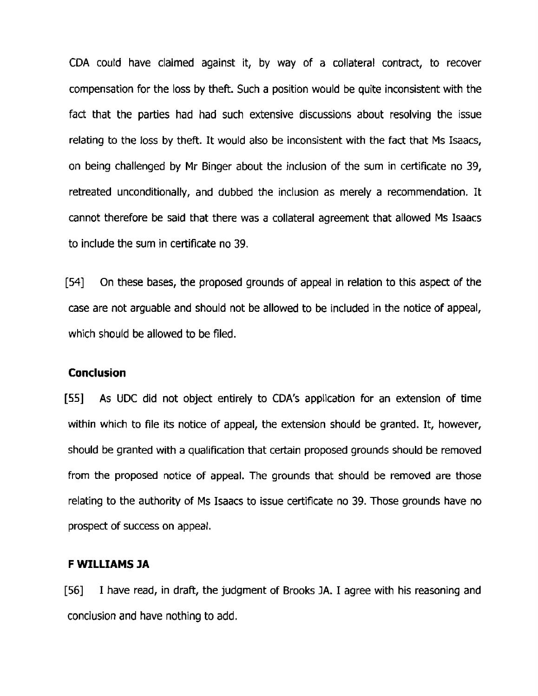CDA could have claimed against it, by way of a collateral contract, to recover compensation for the loss by theft. Such a position would be quite inconsistent with the fact that the parties had **had** such extensive discussions about resolving the issue relating to the **loss by** theft. It **would** also be inconsistent with the fact that Ms Isaacs, on being challenged by Mr Binger about the inclusion of the **sum** in certificate no 39, retreated unconditionally, and **dubbed** the inclusion **as** merely a recommendation. It cannot therefore be **said** that **there** was **a** collateral **agreement that** allowed **Ms Isaacs**  to include the sum in certificate no 39.

[54] On these bases, the proposed grounds of **appeal** in relation to this aspect of the case are not arguable and should not be allowed to be included in the notice of appeal, which should be allowed to be filed.

### **Conclusion**

**[55]** As UDC did not object entirely to **CDArs** application for an extension of time within which to **file** its notice of appeal, the extension should be granted. It, **however,**  should **be granted** with a qualification that certain proposed grounds **should** be removed from the **proposed** notice **of appeal. The grounds that** should be removed are those relating to the authority of Ms Isaacs to issue certificate no 39. Those grounds have no prospect of success on appeal.

### **F WILLIAMS JA**

**[56] 1** have **read,** in **draft, the judgment of** Brooks **1A.** I agree with his reasoning and conclusion and have nothing to add.